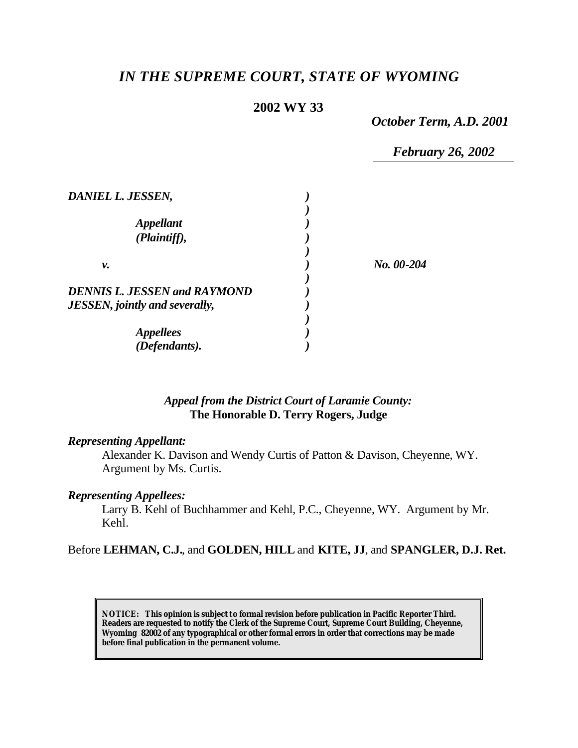# *IN THE SUPREME COURT, STATE OF WYOMING*

## **2002 WY 33**

*October Term, A.D. 2001*

*February 26, 2002*

| DANIEL L. JESSEN,                       |              |  |
|-----------------------------------------|--------------|--|
| <i><b>Appellant</b></i><br>(Plaintiff), |              |  |
| ν.                                      | $No. 00-204$ |  |
| <b>DENNIS L. JESSEN and RAYMOND</b>     |              |  |
| <b>JESSEN</b> , jointly and severally,  |              |  |
| <i><b>Appellees</b></i>                 |              |  |
| (Defendants).                           |              |  |

# *Appeal from the District Court of Laramie County:* **The Honorable D. Terry Rogers, Judge**

#### *Representing Appellant:*

Alexander K. Davison and Wendy Curtis of Patton & Davison, Cheyenne, WY. Argument by Ms. Curtis.

#### *Representing Appellees:*

Larry B. Kehl of Buchhammer and Kehl, P.C., Cheyenne, WY. Argument by Mr. Kehl.

### Before **LEHMAN, C.J.**, and **GOLDEN, HILL** and **KITE, JJ**, and **SPANGLER, D.J. Ret.**

**NOTICE:** *This opinion is subject to formal revision before publication in Pacific Reporter Third. Readers are requested to notify the Clerk of the Supreme Court, Supreme Court Building, Cheyenne, Wyoming 82002 of any typographical or other formal errors in order that corrections may be made before final publication in the permanent volume.*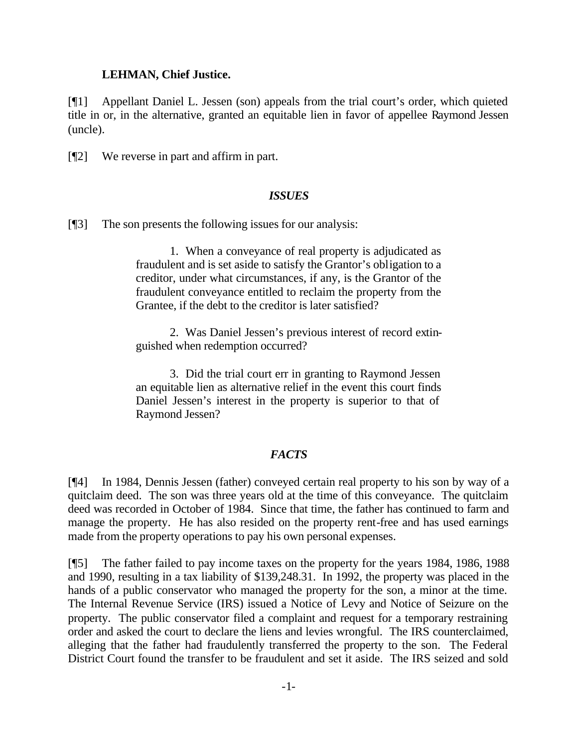#### **LEHMAN, Chief Justice.**

[¶1] Appellant Daniel L. Jessen (son) appeals from the trial court's order, which quieted title in or, in the alternative, granted an equitable lien in favor of appellee Raymond Jessen (uncle).

[¶2] We reverse in part and affirm in part.

#### *ISSUES*

[¶3] The son presents the following issues for our analysis:

1. When a conveyance of real property is adjudicated as fraudulent and is set aside to satisfy the Grantor's obligation to a creditor, under what circumstances, if any, is the Grantor of the fraudulent conveyance entitled to reclaim the property from the Grantee, if the debt to the creditor is later satisfied?

2. Was Daniel Jessen's previous interest of record extinguished when redemption occurred?

3. Did the trial court err in granting to Raymond Jessen an equitable lien as alternative relief in the event this court finds Daniel Jessen's interest in the property is superior to that of Raymond Jessen?

#### *FACTS*

[¶4] In 1984, Dennis Jessen (father) conveyed certain real property to his son by way of a quitclaim deed. The son was three years old at the time of this conveyance. The quitclaim deed was recorded in October of 1984. Since that time, the father has continued to farm and manage the property. He has also resided on the property rent-free and has used earnings made from the property operations to pay his own personal expenses.

[¶5] The father failed to pay income taxes on the property for the years 1984, 1986, 1988 and 1990, resulting in a tax liability of \$139,248.31. In 1992, the property was placed in the hands of a public conservator who managed the property for the son, a minor at the time. The Internal Revenue Service (IRS) issued a Notice of Levy and Notice of Seizure on the property. The public conservator filed a complaint and request for a temporary restraining order and asked the court to declare the liens and levies wrongful. The IRS counterclaimed, alleging that the father had fraudulently transferred the property to the son. The Federal District Court found the transfer to be fraudulent and set it aside. The IRS seized and sold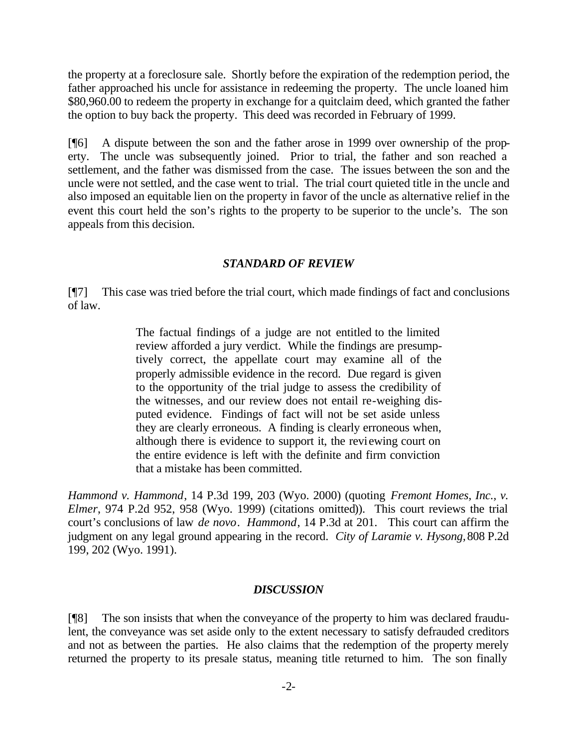the property at a foreclosure sale. Shortly before the expiration of the redemption period, the father approached his uncle for assistance in redeeming the property. The uncle loaned him \$80,960.00 to redeem the property in exchange for a quitclaim deed, which granted the father the option to buy back the property. This deed was recorded in February of 1999.

[¶6] A dispute between the son and the father arose in 1999 over ownership of the property. The uncle was subsequently joined. Prior to trial, the father and son reached a settlement, and the father was dismissed from the case. The issues between the son and the uncle were not settled, and the case went to trial. The trial court quieted title in the uncle and also imposed an equitable lien on the property in favor of the uncle as alternative relief in the event this court held the son's rights to the property to be superior to the uncle's. The son appeals from this decision.

#### *STANDARD OF REVIEW*

[¶7] This case was tried before the trial court, which made findings of fact and conclusions of law.

> The factual findings of a judge are not entitled to the limited review afforded a jury verdict. While the findings are presumptively correct, the appellate court may examine all of the properly admissible evidence in the record. Due regard is given to the opportunity of the trial judge to assess the credibility of the witnesses, and our review does not entail re-weighing disputed evidence. Findings of fact will not be set aside unless they are clearly erroneous. A finding is clearly erroneous when, although there is evidence to support it, the reviewing court on the entire evidence is left with the definite and firm conviction that a mistake has been committed.

*Hammond v. Hammond*, 14 P.3d 199, 203 (Wyo. 2000) (quoting *Fremont Homes, Inc., v. Elmer*, 974 P.2d 952, 958 (Wyo. 1999) (citations omitted)). This court reviews the trial court's conclusions of law *de novo*. *Hammond*, 14 P.3d at 201. This court can affirm the judgment on any legal ground appearing in the record. *City of Laramie v. Hysong,* 808 P.2d 199, 202 (Wyo. 1991).

#### *DISCUSSION*

[¶8] The son insists that when the conveyance of the property to him was declared fraudulent, the conveyance was set aside only to the extent necessary to satisfy defrauded creditors and not as between the parties. He also claims that the redemption of the property merely returned the property to its presale status, meaning title returned to him. The son finally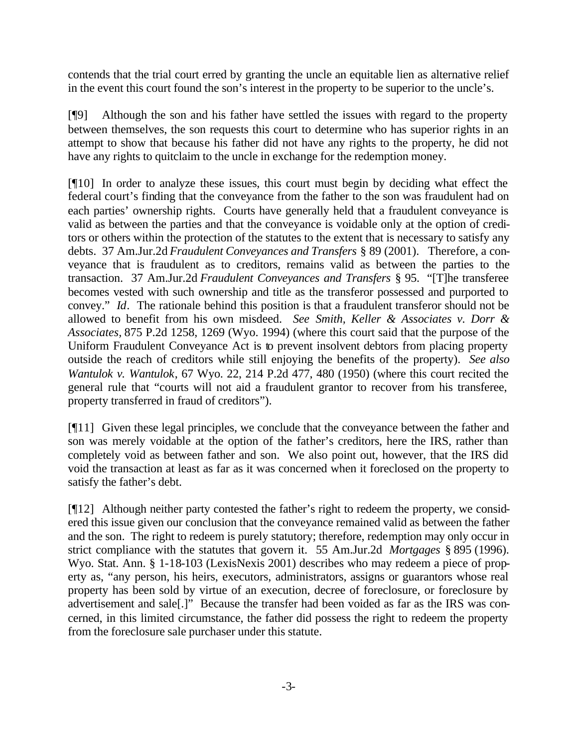contends that the trial court erred by granting the uncle an equitable lien as alternative relief in the event this court found the son's interest in the property to be superior to the uncle's.

[¶9] Although the son and his father have settled the issues with regard to the property between themselves, the son requests this court to determine who has superior rights in an attempt to show that because his father did not have any rights to the property, he did not have any rights to quitclaim to the uncle in exchange for the redemption money.

[¶10] In order to analyze these issues, this court must begin by deciding what effect the federal court's finding that the conveyance from the father to the son was fraudulent had on each parties' ownership rights. Courts have generally held that a fraudulent conveyance is valid as between the parties and that the conveyance is voidable only at the option of creditors or others within the protection of the statutes to the extent that is necessary to satisfy any debts. 37 Am.Jur.2d *Fraudulent Conveyances and Transfers* § 89 (2001). Therefore, a conveyance that is fraudulent as to creditors, remains valid as between the parties to the transaction. 37 Am.Jur.2d *Fraudulent Conveyances and Transfers* § 95. "[T]he transferee becomes vested with such ownership and title as the transferor possessed and purported to convey." *Id*. The rationale behind this position is that a fraudulent transferor should not be allowed to benefit from his own misdeed. *See Smith, Keller & Associates v. Dorr & Associates,* 875 P.2d 1258, 1269 (Wyo. 1994) (where this court said that the purpose of the Uniform Fraudulent Conveyance Act is to prevent insolvent debtors from placing property outside the reach of creditors while still enjoying the benefits of the property). *See also Wantulok v. Wantulok*, 67 Wyo. 22, 214 P.2d 477, 480 (1950) (where this court recited the general rule that "courts will not aid a fraudulent grantor to recover from his transferee, property transferred in fraud of creditors").

[¶11] Given these legal principles, we conclude that the conveyance between the father and son was merely voidable at the option of the father's creditors, here the IRS, rather than completely void as between father and son. We also point out, however, that the IRS did void the transaction at least as far as it was concerned when it foreclosed on the property to satisfy the father's debt.

[¶12] Although neither party contested the father's right to redeem the property, we considered this issue given our conclusion that the conveyance remained valid as between the father and the son. The right to redeem is purely statutory; therefore, redemption may only occur in strict compliance with the statutes that govern it. 55 Am.Jur.2d *Mortgages* § 895 (1996). Wyo. Stat. Ann. § 1-18-103 (LexisNexis 2001) describes who may redeem a piece of property as, "any person, his heirs, executors, administrators, assigns or guarantors whose real property has been sold by virtue of an execution, decree of foreclosure, or foreclosure by advertisement and sale[.]" Because the transfer had been voided as far as the IRS was concerned, in this limited circumstance, the father did possess the right to redeem the property from the foreclosure sale purchaser under this statute.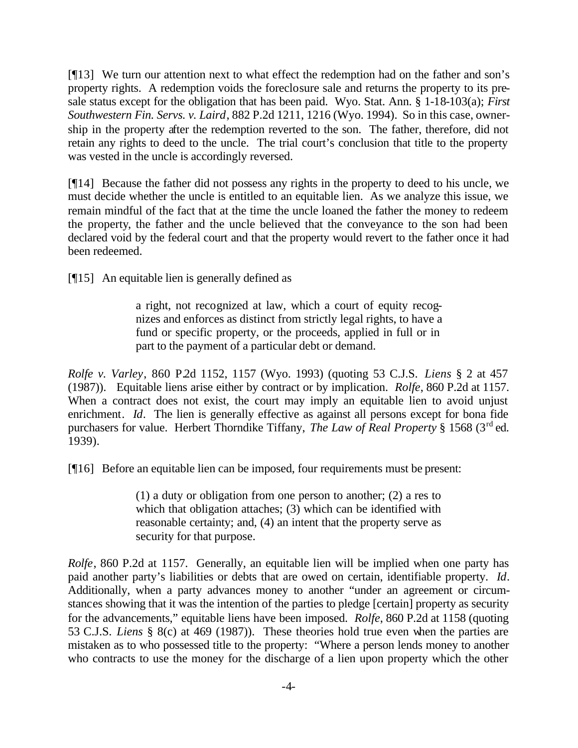[¶13] We turn our attention next to what effect the redemption had on the father and son's property rights. A redemption voids the foreclosure sale and returns the property to its presale status except for the obligation that has been paid. Wyo. Stat. Ann. § 1-18-103(a); *First Southwestern Fin. Servs. v. Laird*, 882 P.2d 1211, 1216 (Wyo. 1994). So in this case, ownership in the property after the redemption reverted to the son. The father, therefore, did not retain any rights to deed to the uncle. The trial court's conclusion that title to the property was vested in the uncle is accordingly reversed.

[¶14] Because the father did not possess any rights in the property to deed to his uncle, we must decide whether the uncle is entitled to an equitable lien. As we analyze this issue, we remain mindful of the fact that at the time the uncle loaned the father the money to redeem the property, the father and the uncle believed that the conveyance to the son had been declared void by the federal court and that the property would revert to the father once it had been redeemed.

[¶15] An equitable lien is generally defined as

a right, not recognized at law, which a court of equity recognizes and enforces as distinct from strictly legal rights, to have a fund or specific property, or the proceeds, applied in full or in part to the payment of a particular debt or demand.

*Rolfe v. Varley*, 860 P.2d 1152, 1157 (Wyo. 1993) (quoting 53 C.J.S. *Liens* § 2 at 457 (1987)). Equitable liens arise either by contract or by implication. *Rolfe*, 860 P.2d at 1157. When a contract does not exist, the court may imply an equitable lien to avoid unjust enrichment. *Id*. The lien is generally effective as against all persons except for bona fide purchasers for value. Herbert Thorndike Tiffany, *The Law of Real Property* § 1568 (3<sup>rd</sup> ed. 1939).

[¶16] Before an equitable lien can be imposed, four requirements must be present:

(1) a duty or obligation from one person to another; (2) a res to which that obligation attaches; (3) which can be identified with reasonable certainty; and, (4) an intent that the property serve as security for that purpose.

*Rolfe*, 860 P.2d at 1157. Generally, an equitable lien will be implied when one party has paid another party's liabilities or debts that are owed on certain, identifiable property. *Id*. Additionally, when a party advances money to another "under an agreement or circumstances showing that it was the intention of the parties to pledge [certain] property as security for the advancements," equitable liens have been imposed. *Rolfe*, 860 P.2d at 1158 (quoting 53 C.J.S. *Liens* § 8(c) at 469 (1987)). These theories hold true even when the parties are mistaken as to who possessed title to the property: "Where a person lends money to another who contracts to use the money for the discharge of a lien upon property which the other